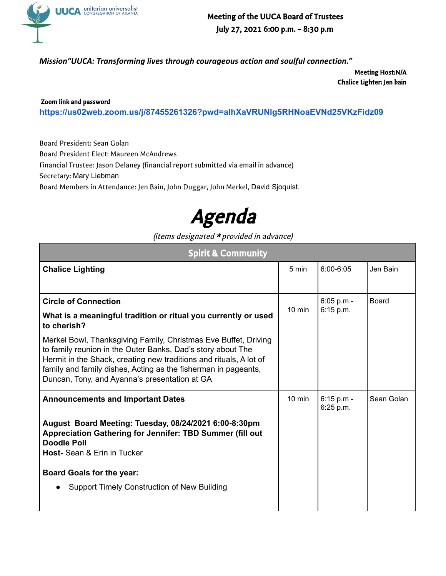

*Mission"UUCA: Transforming lives through courageous action and soulful connection."*

Meeting Host:N/A Chalice Lighter: Jen bain

### Zoom link and password **<https://us02web.zoom.us/j/87455261326?pwd=alhXaVRUNlg5RHNoaEVNd25VKzFidz09>**

Board President: Sean Golan Board President Elect: Maureen McAndrews Financial Trustee: Jason Delaney (financial report submitted via email in advance) Secretary: Mary Liebman Board Members in Attendance: Jen Bain, John Duggar, John Merkel, David Sjoquist.



### (items designated \* provided in advance)

| <b>Spirit &amp; Community</b>                                                                                                                                                                                                                                                                                                                                                                                                           |                  |                           |              |
|-----------------------------------------------------------------------------------------------------------------------------------------------------------------------------------------------------------------------------------------------------------------------------------------------------------------------------------------------------------------------------------------------------------------------------------------|------------------|---------------------------|--------------|
| <b>Chalice Lighting</b>                                                                                                                                                                                                                                                                                                                                                                                                                 | 5 min            | $6:00 - 6:05$             | Jen Bain     |
| <b>Circle of Connection</b><br>What is a meaningful tradition or ritual you currently or used<br>to cherish?<br>Merkel Bowl, Thanksgiving Family, Christmas Eve Buffet, Driving<br>to family reunion in the Outer Banks, Dad's story about The<br>Hermit in the Shack, creating new traditions and rituals, A lot of<br>family and family dishes, Acting as the fisherman in pageants,<br>Duncan, Tony, and Ayanna's presentation at GA | $10 \text{ min}$ | $6:05$ p.m.-<br>6:15 p.m. | <b>Board</b> |
| <b>Announcements and Important Dates</b><br>August Board Meeting: Tuesday, 08/24/2021 6:00-8:30pm<br>Appreciation Gathering for Jennifer: TBD Summer (fill out<br><b>Doodle Poll</b><br><b>Host-</b> Sean & Erin in Tucker<br><b>Board Goals for the year:</b><br>Support Timely Construction of New Building                                                                                                                           | $10 \text{ min}$ | $6:15 p.m -$<br>6:25 p.m. | Sean Golan   |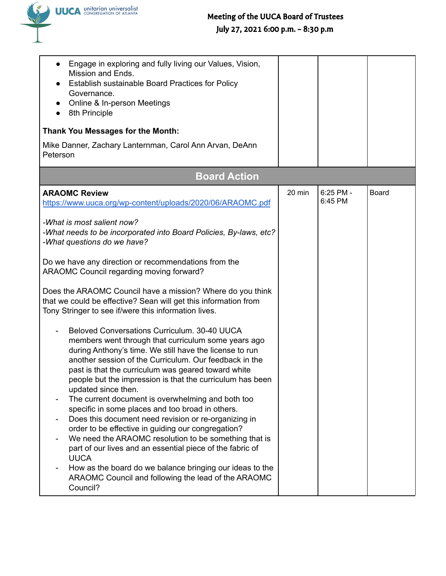

| Engage in exploring and fully living our Values, Vision,<br>Mission and Ends.<br>Establish sustainable Board Practices for Policy<br>Governance.<br>Online & In-person Meetings<br>8th Principle                                                                                                                                                                                                                                                                                                                                                                                                                                                                                                                                                                                                                                                                                                                                                                                                                                                                                                                                                                                                                                                                                                                                                   |        |                      |              |
|----------------------------------------------------------------------------------------------------------------------------------------------------------------------------------------------------------------------------------------------------------------------------------------------------------------------------------------------------------------------------------------------------------------------------------------------------------------------------------------------------------------------------------------------------------------------------------------------------------------------------------------------------------------------------------------------------------------------------------------------------------------------------------------------------------------------------------------------------------------------------------------------------------------------------------------------------------------------------------------------------------------------------------------------------------------------------------------------------------------------------------------------------------------------------------------------------------------------------------------------------------------------------------------------------------------------------------------------------|--------|----------------------|--------------|
| Thank You Messages for the Month:                                                                                                                                                                                                                                                                                                                                                                                                                                                                                                                                                                                                                                                                                                                                                                                                                                                                                                                                                                                                                                                                                                                                                                                                                                                                                                                  |        |                      |              |
| Mike Danner, Zachary Lanternman, Carol Ann Arvan, DeAnn<br>Peterson                                                                                                                                                                                                                                                                                                                                                                                                                                                                                                                                                                                                                                                                                                                                                                                                                                                                                                                                                                                                                                                                                                                                                                                                                                                                                |        |                      |              |
| <b>Board Action</b>                                                                                                                                                                                                                                                                                                                                                                                                                                                                                                                                                                                                                                                                                                                                                                                                                                                                                                                                                                                                                                                                                                                                                                                                                                                                                                                                |        |                      |              |
| <b>ARAOMC Review</b><br>https://www.uuca.org/wp-content/uploads/2020/06/ARAOMC.pdf<br>-What is most salient now?<br>-What needs to be incorporated into Board Policies, By-laws, etc?<br>-What questions do we have?<br>Do we have any direction or recommendations from the<br>ARAOMC Council regarding moving forward?<br>Does the ARAOMC Council have a mission? Where do you think<br>that we could be effective? Sean will get this information from<br>Tony Stringer to see if/were this information lives.<br>Beloved Conversations Curriculum. 30-40 UUCA<br>members went through that curriculum some years ago<br>during Anthony's time. We still have the license to run<br>another session of the Curriculum. Our feedback in the<br>past is that the curriculum was geared toward white<br>people but the impression is that the curriculum has been<br>updated since then.<br>The current document is overwhelming and both too<br>÷,<br>specific in some places and too broad in others.<br>Does this document need revision or re-organizing in<br>order to be effective in guiding our congregation?<br>We need the ARAOMC resolution to be something that is<br>$\overline{\phantom{m}}$<br>part of our lives and an essential piece of the fabric of<br><b>UUCA</b><br>How as the board do we balance bringing our ideas to the | 20 min | 6:25 PM -<br>6:45 PM | <b>Board</b> |
| ARAOMC Council and following the lead of the ARAOMC<br>Council?                                                                                                                                                                                                                                                                                                                                                                                                                                                                                                                                                                                                                                                                                                                                                                                                                                                                                                                                                                                                                                                                                                                                                                                                                                                                                    |        |                      |              |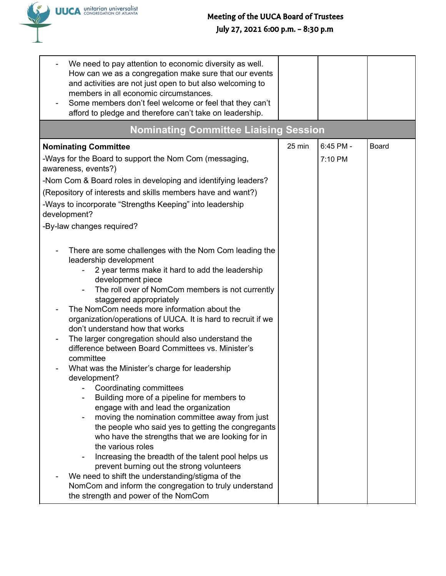

| We need to pay attention to economic diversity as well.<br>How can we as a congregation make sure that our events<br>and activities are not just open to but also welcoming to<br>members in all economic circumstances.<br>Some members don't feel welcome or feel that they can't<br>afford to pledge and therefore can't take on leadership.                                                                                                                                                                                                                                                                                                                                                                                                                                                                                                                                                                                                                                                                                                                                                                                                                                  |                                              |           |              |  |
|----------------------------------------------------------------------------------------------------------------------------------------------------------------------------------------------------------------------------------------------------------------------------------------------------------------------------------------------------------------------------------------------------------------------------------------------------------------------------------------------------------------------------------------------------------------------------------------------------------------------------------------------------------------------------------------------------------------------------------------------------------------------------------------------------------------------------------------------------------------------------------------------------------------------------------------------------------------------------------------------------------------------------------------------------------------------------------------------------------------------------------------------------------------------------------|----------------------------------------------|-----------|--------------|--|
|                                                                                                                                                                                                                                                                                                                                                                                                                                                                                                                                                                                                                                                                                                                                                                                                                                                                                                                                                                                                                                                                                                                                                                                  | <b>Nominating Committee Liaising Session</b> |           |              |  |
| <b>Nominating Committee</b>                                                                                                                                                                                                                                                                                                                                                                                                                                                                                                                                                                                                                                                                                                                                                                                                                                                                                                                                                                                                                                                                                                                                                      | 25 min                                       | 6:45 PM - | <b>Board</b> |  |
| -Ways for the Board to support the Nom Com (messaging,<br>awareness, events?)                                                                                                                                                                                                                                                                                                                                                                                                                                                                                                                                                                                                                                                                                                                                                                                                                                                                                                                                                                                                                                                                                                    |                                              | 7:10 PM   |              |  |
| -Nom Com & Board roles in developing and identifying leaders?                                                                                                                                                                                                                                                                                                                                                                                                                                                                                                                                                                                                                                                                                                                                                                                                                                                                                                                                                                                                                                                                                                                    |                                              |           |              |  |
| (Repository of interests and skills members have and want?)                                                                                                                                                                                                                                                                                                                                                                                                                                                                                                                                                                                                                                                                                                                                                                                                                                                                                                                                                                                                                                                                                                                      |                                              |           |              |  |
| -Ways to incorporate "Strengths Keeping" into leadership<br>development?                                                                                                                                                                                                                                                                                                                                                                                                                                                                                                                                                                                                                                                                                                                                                                                                                                                                                                                                                                                                                                                                                                         |                                              |           |              |  |
| -By-law changes required?                                                                                                                                                                                                                                                                                                                                                                                                                                                                                                                                                                                                                                                                                                                                                                                                                                                                                                                                                                                                                                                                                                                                                        |                                              |           |              |  |
| There are some challenges with the Nom Com leading the<br>leadership development<br>2 year terms make it hard to add the leadership<br>development piece<br>The roll over of NomCom members is not currently<br>staggered appropriately<br>The NomCom needs more information about the<br>organization/operations of UUCA. It is hard to recruit if we<br>don't understand how that works<br>The larger congregation should also understand the<br>difference between Board Committees vs. Minister's<br>committee<br>What was the Minister's charge for leadership<br>development?<br>Coordinating committees<br>Building more of a pipeline for members to<br>engage with and lead the organization<br>moving the nomination committee away from just<br>the people who said yes to getting the congregants<br>who have the strengths that we are looking for in<br>the various roles<br>Increasing the breadth of the talent pool helps us<br>$\qquad \qquad \blacksquare$<br>prevent burning out the strong volunteers<br>We need to shift the understanding/stigma of the<br>NomCom and inform the congregation to truly understand<br>the strength and power of the NomCom |                                              |           |              |  |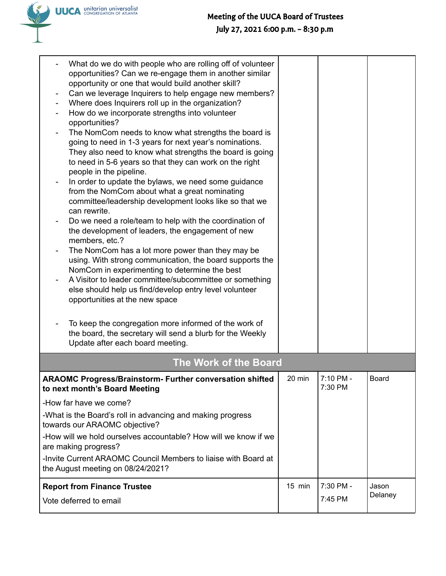

 $\mathcal{L}^*$ 

| What do we do with people who are rolling off of volunteer<br>opportunities? Can we re-engage them in another similar<br>opportunity or one that would build another skill?<br>Can we leverage Inquirers to help engage new members?<br>Where does Inquirers roll up in the organization?<br>How do we incorporate strengths into volunteer<br>opportunities?<br>The NomCom needs to know what strengths the board is<br>going to need in 1-3 years for next year's nominations.<br>They also need to know what strengths the board is going<br>to need in 5-6 years so that they can work on the right<br>people in the pipeline.<br>In order to update the bylaws, we need some guidance<br>from the NomCom about what a great nominating<br>committee/leadership development looks like so that we<br>can rewrite.<br>Do we need a role/team to help with the coordination of<br>the development of leaders, the engagement of new<br>members, etc.?<br>The NomCom has a lot more power than they may be<br>using. With strong communication, the board supports the<br>NomCom in experimenting to determine the best<br>A Visitor to leader committee/subcommittee or something<br>else should help us find/develop entry level volunteer<br>opportunities at the new space<br>To keep the congregation more informed of the work of<br>the board, the secretary will send a blurb for the Weekly<br>Update after each board meeting. |        |             |         |
|-------------------------------------------------------------------------------------------------------------------------------------------------------------------------------------------------------------------------------------------------------------------------------------------------------------------------------------------------------------------------------------------------------------------------------------------------------------------------------------------------------------------------------------------------------------------------------------------------------------------------------------------------------------------------------------------------------------------------------------------------------------------------------------------------------------------------------------------------------------------------------------------------------------------------------------------------------------------------------------------------------------------------------------------------------------------------------------------------------------------------------------------------------------------------------------------------------------------------------------------------------------------------------------------------------------------------------------------------------------------------------------------------------------------------------------------|--------|-------------|---------|
| The Work of the Board                                                                                                                                                                                                                                                                                                                                                                                                                                                                                                                                                                                                                                                                                                                                                                                                                                                                                                                                                                                                                                                                                                                                                                                                                                                                                                                                                                                                                     |        |             |         |
| <b>ARAOMC Progress/Brainstorm- Further conversation shifted</b>                                                                                                                                                                                                                                                                                                                                                                                                                                                                                                                                                                                                                                                                                                                                                                                                                                                                                                                                                                                                                                                                                                                                                                                                                                                                                                                                                                           | 20 min | $7:10$ PM - | Board   |
| to next month's Board Meeting                                                                                                                                                                                                                                                                                                                                                                                                                                                                                                                                                                                                                                                                                                                                                                                                                                                                                                                                                                                                                                                                                                                                                                                                                                                                                                                                                                                                             |        | 7:30 PM     |         |
| -How far have we come?                                                                                                                                                                                                                                                                                                                                                                                                                                                                                                                                                                                                                                                                                                                                                                                                                                                                                                                                                                                                                                                                                                                                                                                                                                                                                                                                                                                                                    |        |             |         |
| -What is the Board's roll in advancing and making progress<br>towards our ARAOMC objective?                                                                                                                                                                                                                                                                                                                                                                                                                                                                                                                                                                                                                                                                                                                                                                                                                                                                                                                                                                                                                                                                                                                                                                                                                                                                                                                                               |        |             |         |
| -How will we hold ourselves accountable? How will we know if we<br>are making progress?                                                                                                                                                                                                                                                                                                                                                                                                                                                                                                                                                                                                                                                                                                                                                                                                                                                                                                                                                                                                                                                                                                                                                                                                                                                                                                                                                   |        |             |         |
| -Invite Current ARAOMC Council Members to liaise with Board at<br>the August meeting on 08/24/2021?                                                                                                                                                                                                                                                                                                                                                                                                                                                                                                                                                                                                                                                                                                                                                                                                                                                                                                                                                                                                                                                                                                                                                                                                                                                                                                                                       |        |             |         |
| <b>Report from Finance Trustee</b>                                                                                                                                                                                                                                                                                                                                                                                                                                                                                                                                                                                                                                                                                                                                                                                                                                                                                                                                                                                                                                                                                                                                                                                                                                                                                                                                                                                                        | 15 min | 7:30 PM -   | Jason   |
| Vote deferred to email                                                                                                                                                                                                                                                                                                                                                                                                                                                                                                                                                                                                                                                                                                                                                                                                                                                                                                                                                                                                                                                                                                                                                                                                                                                                                                                                                                                                                    |        | 7:45 PM     | Delaney |
|                                                                                                                                                                                                                                                                                                                                                                                                                                                                                                                                                                                                                                                                                                                                                                                                                                                                                                                                                                                                                                                                                                                                                                                                                                                                                                                                                                                                                                           |        |             |         |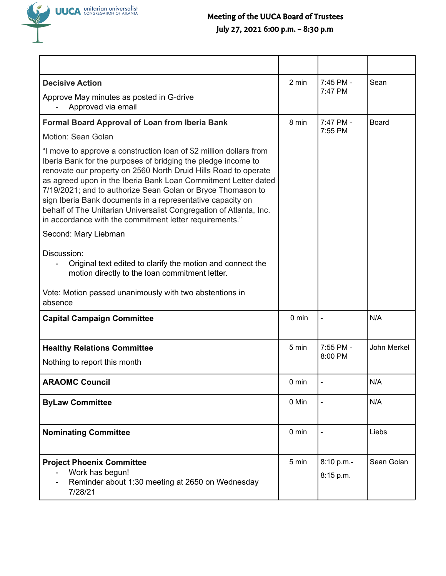

| <b>Decisive Action</b>                                                                                                                                                                                                                                                                                                                                                                                                                                                                                                                 | 2 min           | 7:45 PM -                | Sean         |
|----------------------------------------------------------------------------------------------------------------------------------------------------------------------------------------------------------------------------------------------------------------------------------------------------------------------------------------------------------------------------------------------------------------------------------------------------------------------------------------------------------------------------------------|-----------------|--------------------------|--------------|
| Approve May minutes as posted in G-drive<br>Approved via email                                                                                                                                                                                                                                                                                                                                                                                                                                                                         |                 | 7:47 PM                  |              |
| <b>Formal Board Approval of Loan from Iberia Bank</b>                                                                                                                                                                                                                                                                                                                                                                                                                                                                                  | 8 min           | 7:47 PM -                | <b>Board</b> |
| <b>Motion: Sean Golan</b>                                                                                                                                                                                                                                                                                                                                                                                                                                                                                                              |                 | 7:55 PM                  |              |
| "I move to approve a construction loan of \$2 million dollars from<br>Iberia Bank for the purposes of bridging the pledge income to<br>renovate our property on 2560 North Druid Hills Road to operate<br>as agreed upon in the Iberia Bank Loan Commitment Letter dated<br>7/19/2021; and to authorize Sean Golan or Bryce Thomason to<br>sign Iberia Bank documents in a representative capacity on<br>behalf of The Unitarian Universalist Congregation of Atlanta, Inc.<br>in accordance with the commitment letter requirements." |                 |                          |              |
| Second: Mary Liebman                                                                                                                                                                                                                                                                                                                                                                                                                                                                                                                   |                 |                          |              |
| Discussion:<br>Original text edited to clarify the motion and connect the<br>motion directly to the loan commitment letter.                                                                                                                                                                                                                                                                                                                                                                                                            |                 |                          |              |
| Vote: Motion passed unanimously with two abstentions in<br>absence                                                                                                                                                                                                                                                                                                                                                                                                                                                                     |                 |                          |              |
| <b>Capital Campaign Committee</b>                                                                                                                                                                                                                                                                                                                                                                                                                                                                                                      | $0 \text{ min}$ | $\overline{\phantom{0}}$ | N/A          |
| <b>Healthy Relations Committee</b>                                                                                                                                                                                                                                                                                                                                                                                                                                                                                                     | 5 min           | 7:55 PM -                | John Merkel  |
| Nothing to report this month                                                                                                                                                                                                                                                                                                                                                                                                                                                                                                           |                 | 8:00 PM                  |              |
| <b>ARAOMC Council</b>                                                                                                                                                                                                                                                                                                                                                                                                                                                                                                                  | $0 \text{ min}$ |                          | N/A          |
| <b>ByLaw Committee</b>                                                                                                                                                                                                                                                                                                                                                                                                                                                                                                                 | 0 Min           | $\blacksquare$           | N/A          |
| <b>Nominating Committee</b>                                                                                                                                                                                                                                                                                                                                                                                                                                                                                                            | $0 \text{ min}$ | $\overline{\phantom{0}}$ | Liebs        |
| <b>Project Phoenix Committee</b><br>Work has begun!<br>Reminder about 1:30 meeting at 2650 on Wednesday<br>7/28/21                                                                                                                                                                                                                                                                                                                                                                                                                     | 5 min           | 8:10 p.m.-<br>8:15 p.m.  | Sean Golan   |